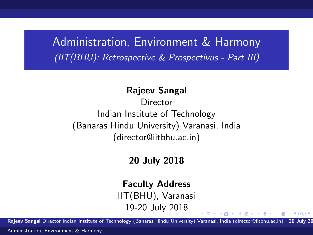Administration, Environment & Harmony (IIT(BHU): Retrospective & Prospectivus - Part III)

#### Rajeev Sangal

**Director** Indian Institute of Technology (Banaras Hindu University) Varanasi, India (director@iitbhu.ac.in)

### 20 July 2018

#### Faculty Address

IIT(BHU), Varanasi 19-20 July 2018

Rajeev Sangal Director Indian Institute of Technology (Banaras Hindu University) Varanasi, India (director@iitbhu.ac.in) 20 July 20

<span id="page-0-0"></span> $QQ$ 

∢ロト ∢何ト ∢きト ∢きト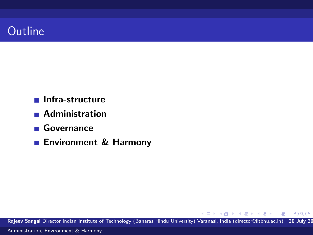

- **Infra-structure**
- **Administration**
- Governance
- **Environment & Harmony**

Rajeev Sangal Director Indian Institute of Technology (Banaras Hindu University) Varanasi, India (director@iitbhu.ac.in) 20 July 20 [Administration, Environment & Harmony](#page-0-0)

 $\left\{ \begin{array}{ccc} 1 & 0 & 0 \\ 0 & 1 & 0 \end{array} \right.$ 

 $299$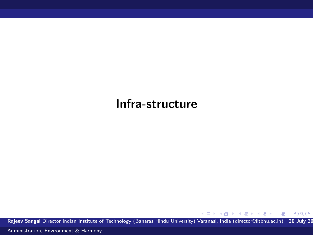## Infra-structure

Rajeev Sangal Director Indian Institute of Technology (Banaras Hindu University) Varanasi, India (director@iitbhu.ac.in) 20 July 20

メロメ メ御き メミメ メミメー

 $299$ 

造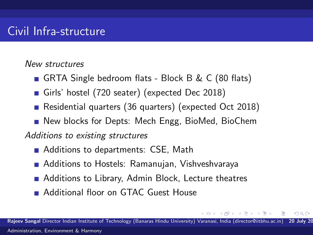New structures

- GRTA Single bedroom flats Block B & C (80 flats)
- Girls' hostel (720 seater) (expected Dec 2018)
- Residential quarters (36 quarters) (expected Oct 2018)
- New blocks for Depts: Mech Engg, BioMed, BioChem

Additions to existing structures

- Additions to departments: CSE, Math
- Additions to Hostels: Ramanujan, Vishveshvaraya
- Additions to Library, Admin Block, Lecture theatres
- **Additional floor on GTAC Guest House**

Rajeev Sangal Director Indian Institute of Technology (Banaras Hindu University) Varanasi, India (director@iitbhu.ac.in) [Administration, Environment & Harmony](#page-0-0)

 $\rightarrow$   $\pm$   $\rightarrow$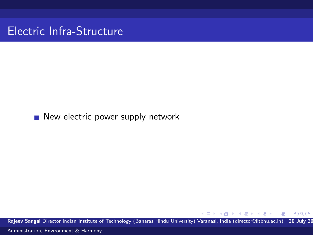Electric Infra-Structure

#### New electric power supply network

Rajeev Sangal Director Indian Institute of Technology (Banaras Hindu University) Varanasi, India (director@iitbhu.ac.in) 20 July 20 [Administration, Environment & Harmony](#page-0-0)

 $\leftarrow$ 

 $=$ 

 $299$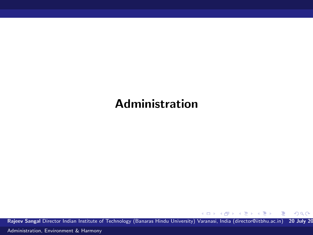# Administration

Rajeev Sangal Director Indian Institute of Technology (Banaras Hindu University) Varanasi, India (director@iitbhu.ac.in) 20 July 20

K ロ > K @ > K 경 > K 경 > 시 경 >

 $299$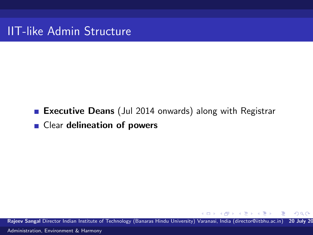IIT-like Admin Structure

# **Executive Deans** (Jul 2014 onwards) along with Registrar ■ Clear delineation of powers

Rajeev Sangal Director Indian Institute of Technology (Banaras Hindu University) Varanasi, India (director@iitbhu.ac.in) 20 July 20 [Administration, Environment & Harmony](#page-0-0)

メス 正々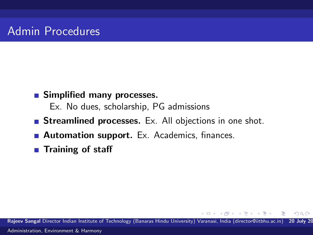# Admin Procedures

#### **Simplified many processes.**

Ex. No dues, scholarship, PG admissions

- **Streamlined processes.** Ex. All objections in one shot.
- **Automation support.** Ex. Academics, finances.
- $\blacksquare$  Training of staff

Rajeev Sangal Director Indian Institute of Technology (Banaras Hindu University) Varanasi, India (director@iitbhu.ac.in) 20 July 20 [Administration, Environment & Harmony](#page-0-0)

A + + = +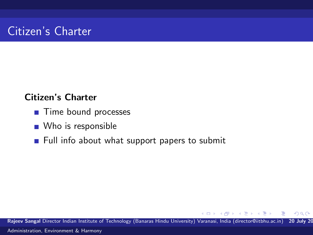# Citizen's Charter

#### Citizen's Charter

- Time bound processes
- Who is responsible
- $\blacksquare$  Full info about what support papers to submit

Rajeev Sangal Director Indian Institute of Technology (Banaras Hindu University) Varanasi, India (director@iitbhu.ac.in) 20 July 20 [Administration, Environment & Harmony](#page-0-0)

 $\leftarrow$ 

母 ト マミッ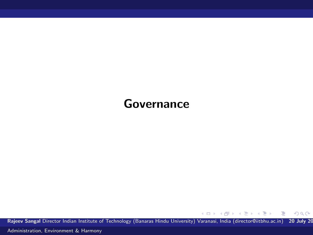## Governance

Rajeev Sangal Director Indian Institute of Technology (Banaras Hindu University) Varanasi, India (director@iitbhu.ac.in) 20 July 20

メロメ メ御 メメ きょくきょう きっ

 $299$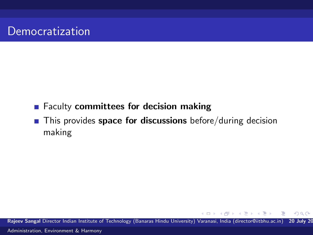### **Faculty committees for decision making**

 $\blacksquare$  This provides space for discussions before/during decision making

Rajeev Sangal Director Indian Institute of Technology (Banaras Hindu University) Varanasi, India (director@iitbhu.ac.in) 20 July 20 [Administration, Environment & Harmony](#page-0-0)

母→ (ヨ )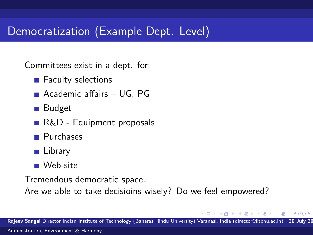# Democratization (Example Dept. Level)

Committees exist in a dept. for:

- Faculty selections
- Academic affairs UG, PG
- Budget
- R&D Equipment proposals
- **Purchases**
- **Library**
- Web-site

Tremendous democratic space.

Are we able to take decisioins wisely? Do we feel empowered?

 $\mathbf{v} = \mathbf{v}$  . The  $\mathbf{v}$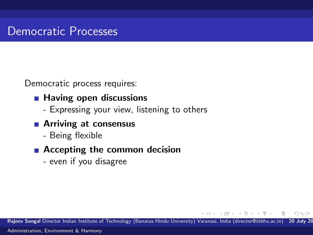Democratic process requires:

- $\blacksquare$  Having open discussions
	- Expressing your view, listening to others
- **Arriving at consensus** 
	- Being flexible
- Accepting the common decision
	- even if you disagree

Rajeev Sangal Director Indian Institute of Technology (Banaras Hindu University) Varanasi, India (director@iitbhu.ac.in) 20 July 20 [Administration, Environment & Harmony](#page-0-0)

**SACTOR**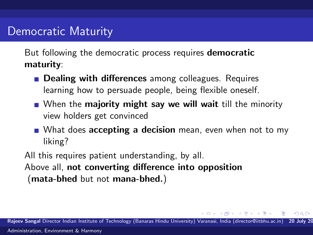### Democratic Maturity

But following the democratic process requires **democratic** maturity:

- **Dealing with differences** among colleagues. Requires learning how to persuade people, being flexible oneself.
- When the **majority might say we will wait** till the minority view holders get convinced
- What does **accepting a decision** mean, even when not to my liking?

All this requires patient understanding, by all. Above all, not converting difference into opposition (mata-bhed but not mana-bhed.)

Rajeev Sangal Director Indian Institute of Technology (Banaras Hindu University) Varanasi, India (director@iitbhu.ac.in) 20 July 20 [Administration, Environment & Harmony](#page-0-0)

All + + = + +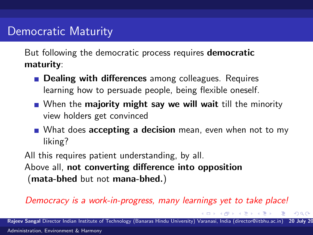### Democratic Maturity

But following the democratic process requires **democratic** maturity:

- **Dealing with differences** among colleagues. Requires learning how to persuade people, being flexible oneself.
- When the **majority might say we will wait** till the minority view holders get convinced
- What does **accepting a decision** mean, even when not to my liking?

All this requires patient understanding, by all. Above all, not converting difference into opposition (mata-bhed but not mana-bhed.)

#### Democracy is a work-in-progress, many learnings yet to take place!

Rajeev Sangal Director Indian Institute of Technology (Banaras Hindu University) Varanasi, India (director@iitbhu.ac.in) 20 July 20 [Administration, Environment & Harmony](#page-0-0)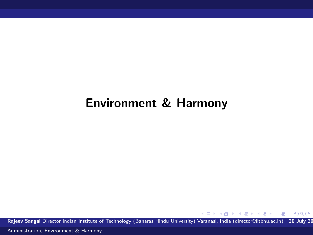# Environment & Harmony

Rajeev Sangal Director Indian Institute of Technology (Banaras Hindu University) Varanasi, India (director@iitbhu.ac.in) 20 July 20

 $\left\{ \begin{array}{ccc} 1 & 0 & 0 \\ 0 & 1 & 0 \end{array} \right.$ 

 $299$ 

Ε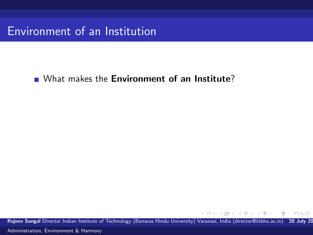What makes the **Environment of an Institute**?

Rajeev Sangal Director Indian Institute of Technology (Banaras Hindu University) Varanasi, India (director@iitbhu.ac.in) 20 July 20

4.0.3

 $\langle \neg \Box \rangle$   $\rightarrow$   $\langle \Box \rangle$   $\rightarrow$   $\langle \Box \rangle$   $\rightarrow$ 

 $299$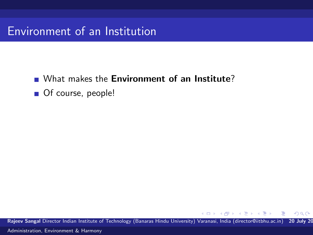What makes the **Environment of an Institute**?

■ Of course, people!

Rajeev Sangal Director Indian Institute of Technology (Banaras Hindu University) Varanasi, India (director@iitbhu.ac.in) 20 July 20

4 D F

母→ (ヨ )

重き

 $\Omega$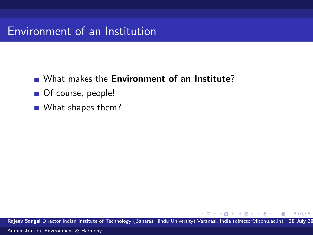- What makes the **Environment of an Institute**?
- Of course, people!
- What shapes them?

Rajeev Sangal Director Indian Institute of Technology (Banaras Hindu University) Varanasi, India (director@iitbhu.ac.in) 20 July 20

4 D F

母 ト マミッ

 $\Omega$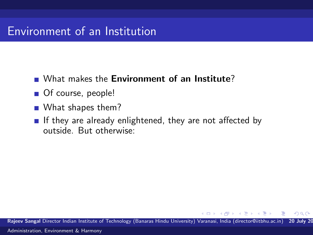- What makes the **Environment of an Institute**?
- Of course, people!
- What shapes them?
- If they are already enlightened, they are not affected by outside. But otherwise:

Rajeev Sangal Director Indian Institute of Technology (Banaras Hindu University) Varanasi, India (director@iitbhu.ac.in) 20 July 20 [Administration, Environment & Harmony](#page-0-0)

 $\rightarrow$   $\pm$   $\rightarrow$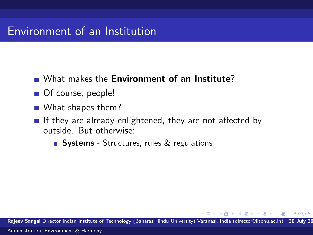- What makes the **Environment of an Institute**?
- Of course, people!
- What shapes them?
- If they are already enlightened, they are not affected by outside. But otherwise:
	- **Systems** Structures, rules & regulations

Rajeev Sangal Director Indian Institute of Technology (Banaras Hindu University) Varanasi, India (director@iitbhu.ac.in) 20 July 20 [Administration, Environment & Harmony](#page-0-0)

 $\rightarrow$   $\equiv$   $\rightarrow$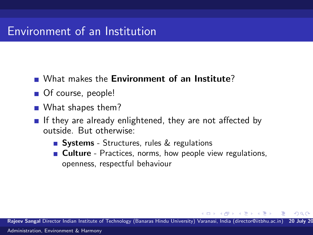- What makes the **Environment of an Institute**?
- Of course, people!
- What shapes them?
- If they are already enlightened, they are not affected by outside. But otherwise:
	- **Systems** Structures, rules & regulations
	- **Culture** Practices, norms, how people view regulations, openness, respectful behaviour

Rajeev Sangal Director Indian Institute of Technology (Banaras Hindu University) Varanasi, India (director@iitbhu.ac.in) 20 July 20 [Administration, Environment & Harmony](#page-0-0)

一本 三 下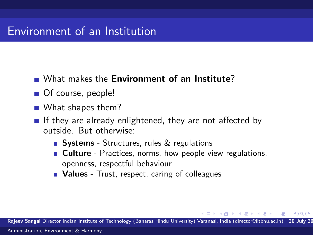- What makes the **Environment of an Institute**?
- Of course, people!
- What shapes them?
- If they are already enlightened, they are not affected by outside. But otherwise:
	- **Systems** Structures, rules & regulations
	- **Culture** Practices, norms, how people view regulations, openness, respectful behaviour
	- Values Trust, respect, caring of colleagues

Rajeev Sangal Director Indian Institute of Technology (Banaras Hindu University) Varanasi, India (director@iitbhu.ac.in) 20 July 20

- 4 国 ド 3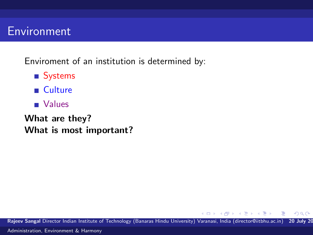### Environment

Enviroment of an institution is determined by:

- Systems
- **Culture**
- **Values**

What are they? What is most important?

Rajeev Sangal Director Indian Institute of Technology (Banaras Hindu University) Varanasi, India (director@iitbhu.ac.in) 20 July 20 [Administration, Environment & Harmony](#page-0-0)

4 D F

∢ 何 ≯ -∢ 手 ≯ -∢

重き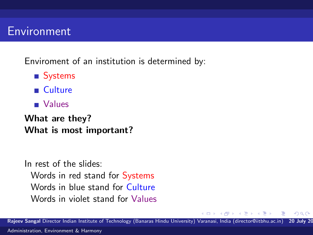### Environment

Enviroment of an institution is determined by:

- Systems
- **Culture**
- Values

What are they? What is most important?

In rest of the slides: Words in red stand for Systems Words in blue stand for Culture Words in violet stand for Values

Rajeev Sangal Director Indian Institute of Technology (Banaras Hindu University) Varanasi, India (director@iitbhu.ac.in) 20 July 20

**ALC: N**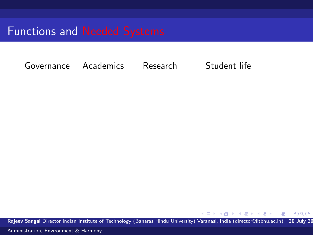Governance Academics Research Student life

Rajeev Sangal Director Indian Institute of Technology (Banaras Hindu University) Varanasi, India (director@iitbhu.ac.in) 20 July 20

4.0.3

 $\langle \neg \Box \rangle$   $\rightarrow$   $\langle \Box \rangle$   $\rightarrow$   $\langle \Box \rangle$   $\rightarrow$ 

 $299$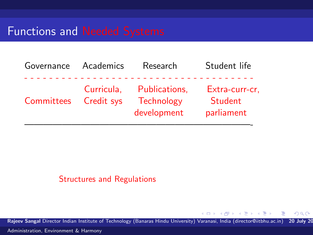| Governance | Academics                | Research                                   | Student life                            |
|------------|--------------------------|--------------------------------------------|-----------------------------------------|
| Committees | Curricula,<br>Credit sys | Publications,<br>Technology<br>development | Extra-curr-cr,<br>Student<br>parliament |
|            |                          |                                            |                                         |

#### Structures and Regulations

Rajeev Sangal Director Indian Institute of Technology (Banaras Hindu University) Varanasi, India (director@iitbhu.ac.in) 20 July 20

 $\rightarrow$   $\oplus$   $\rightarrow$   $\rightarrow$   $\oplus$   $\rightarrow$   $\rightarrow$   $\oplus$   $\rightarrow$ 

4 0 8

 $299$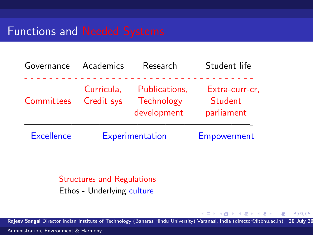| Governance        | Academics                | Research                                          | Student life                            |
|-------------------|--------------------------|---------------------------------------------------|-----------------------------------------|
| Committees        | Curricula,<br>Credit sys | Publications,<br><b>Technology</b><br>development | Extra-curr-cr,<br>Student<br>parliament |
| <b>Excellence</b> | Experimentation          |                                                   | Empowerment                             |

#### Structures and Regulations Ethos - Underlying culture

Rajeev Sangal Director Indian Institute of Technology (Banaras Hindu University) Varanasi, India (director@iitbhu.ac.in) 20 July 20

4 D F

**何 > - < 三 > - <** 

 $299$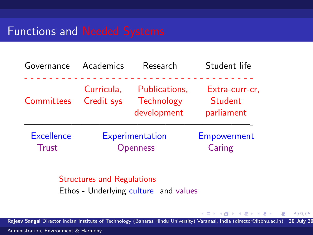| Governance                        | Academics                   | Research                                          | Student life                            |
|-----------------------------------|-----------------------------|---------------------------------------------------|-----------------------------------------|
| Committees                        | Curricula,<br>Credit sys    | Publications,<br><b>Technology</b><br>development | Extra-curr-cr,<br>Student<br>parliament |
| <b>Excellence</b><br><b>Trust</b> | Experimentation<br>Openness |                                                   | Empowerment<br>Caring                   |

### Structures and Regulations Ethos - Underlying culture and values

Rajeev Sangal Director Indian Institute of Technology (Banaras Hindu University) Varanasi, India (director@iitbhu.ac.in) 20 July 20

4 D F

∢ 何 ≯ -∢ 手 ≯ -∢

 $299$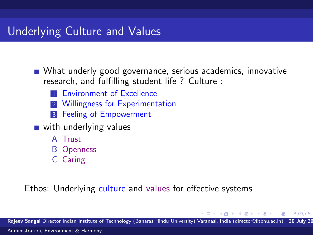# Underlying Culture and Values

What underly good governance, serious academics, innovative research, and fulfilling student life ? Culture :

- **1 Environment of Excellence**
- 2 Willingness for Experimentation
- **3** Feeling of Empowerment
- with underlying values
	- A Trust
	- B Openness
	- C Caring

#### Ethos: Underlying culture and values for effective systems

Rajeev Sangal Director Indian Institute of Technology (Banaras Hindu University) Varanasi, India (director@iitbhu.ac.in) 20 July 20 [Administration, Environment & Harmony](#page-0-0)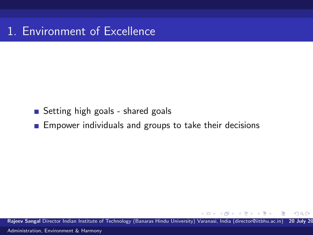1. Environment of Excellence

### ■ Setting high goals - shared goals

**Empower individuals and groups to take their decisions** 

Rajeev Sangal Director Indian Institute of Technology (Banaras Hindu University) Varanasi, India (director@iitbhu.ac.in) 20 July 20 [Administration, Environment & Harmony](#page-0-0)

 $\rightarrow$   $\pm$   $\rightarrow$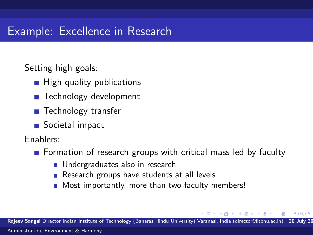# Example: Excellence in Research

Setting high goals:

- **High quality publications**
- Technology development
- **Technology transfer**
- Societal impact

Enablers:

- **F** Formation of research groups with critical mass led by faculty
	- **Undergraduates also in research**
	- Research groups have students at all levels
	- Most importantly, more than two faculty members!  $\mathcal{L}_{\mathcal{A}}$

Rajeev Sangal Director Indian Institute of Technology (Banaras Hindu University) Varanasi, India (director@iitbhu.ac.in) 20 July 20

**State State**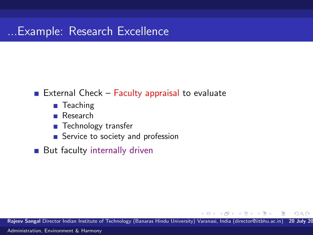#### External Check – Faculty appraisal to evaluate

- Teaching
- Research  $\mathcal{L}_{\mathcal{A}}$
- **Technology transfer**
- Service to society and profession
- **But faculty internally driven**

Rajeev Sangal Director Indian Institute of Technology (Banaras Hindu University) Varanasi, India (director@iitbhu.ac.in) 20 July 20

 $\rightarrow$   $\equiv$   $\rightarrow$ 

 $\Omega$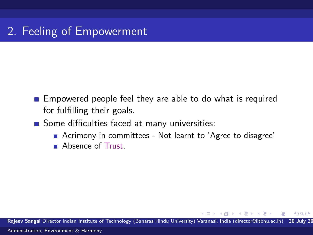- **Empowered people feel they are able to do what is required** for fulfilling their goals.
- Some difficulties faced at many universities:
	- Acrimony in committees Not learnt to 'Agree to disagree'
	- **Absence of Trust.**

Rajeev Sangal Director Indian Institute of Technology (Banaras Hindu University) Varanasi, India (director@iitbhu.ac.in) 20 July 20 [Administration, Environment & Harmony](#page-0-0)

**North Book**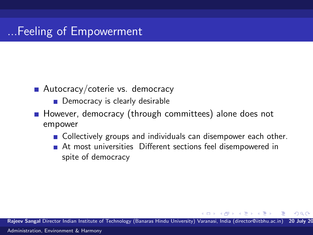- Autocracy/coterie vs. democracy
	- Democracy is clearly desirable
- However, democracy (through committees) alone does not empower
	- **Collectively groups and individuals can disempower each other.**
	- At most universities Different sections feel disempowered in spite of democracy

Rajeev Sangal Director Indian Institute of Technology (Banaras Hindu University) Varanasi, India (director@iitbhu.ac.in) 20 July 20 [Administration, Environment & Harmony](#page-0-0)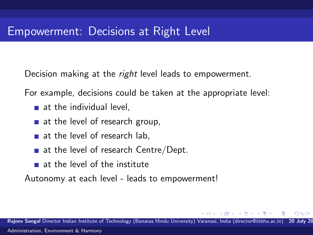Decision making at the *right* level leads to empowerment.

For example, decisions could be taken at the appropriate level:

- $\blacksquare$  at the individual level.
- at the level of research group,
- at the level of research lab,
- $\blacksquare$  at the level of research Centre/Dept.
- at the level of the institute

Autonomy at each level - leads to empowerment!

Rajeev Sangal Director Indian Institute of Technology (Banaras Hindu University) Varanasi, India (director@iitbhu.ac.in) 20 July 20 [Administration, Environment & Harmony](#page-0-0)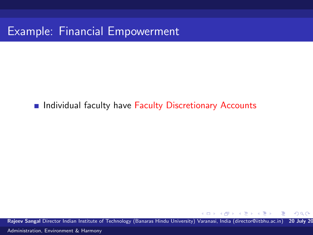# Example: Financial Empowerment

#### **Individual faculty have Faculty Discretionary Accounts**

Rajeev Sangal Director Indian Institute of Technology (Banaras Hindu University) Varanasi, India (director@iitbhu.ac.in) 20 July 20 [Administration, Environment & Harmony](#page-0-0)

 $\mathbf{v} = \mathbf{v}$  . The  $\mathbf{v}$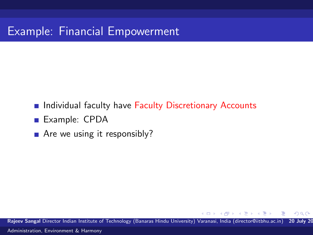# Example: Financial Empowerment

- **Individual faculty have Faculty Discretionary Accounts**
- Example: CPDA
- $\blacksquare$  Are we using it responsibly?

Rajeev Sangal Director Indian Institute of Technology (Banaras Hindu University) Varanasi, India (director@iitbhu.ac.in) 20 July 20 [Administration, Environment & Harmony](#page-0-0)

**State State**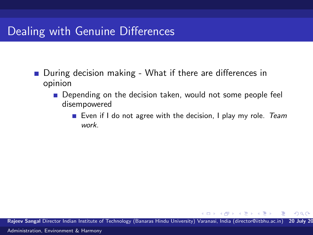- During decision making What if there are differences in opinion
	- **Depending on the decision taken, would not some people feel** disempowered
		- Even if I do not agree with the decision, I play my role. Team work.

**State State** 

 $\Omega$ 

Rajeev Sangal Director Indian Institute of Technology (Banaras Hindu University) Varanasi, India (director@iitbhu.ac.in) 20 July 20 [Administration, Environment & Harmony](#page-0-0)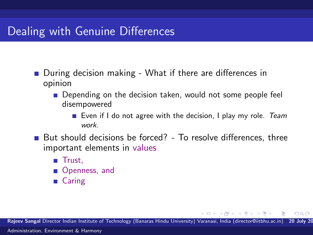- During decision making What if there are differences in opinion
	- **Depending on the decision taken, would not some people feel** disempowered
		- Even if I do not agree with the decision, I play my role. Team work.

 $QQ$ 

 $\rightarrow$   $\pm$   $\rightarrow$   $\rightarrow$ 

- But should decisions be forced? To resolve differences, three important elements in values
	- **Trust.**
	- Openness, and
	- Caring

Rajeev Sangal Director Indian Institute of Technology (Banaras Hindu University) Varanasi, India (director@iitbhu.ac.in) 20 July 20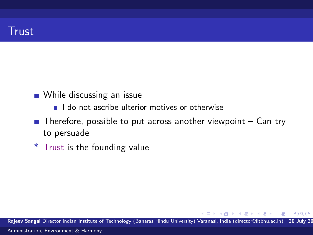### **Trust**

- **NH** While discussing an issue
	- $\blacksquare$  I do not ascribe ulterior motives or otherwise
- $\blacksquare$  Therefore, possible to put across another viewpoint  $\blacksquare$  Can try to persuade
- \* Trust is the founding value

Rajeev Sangal Director Indian Institute of Technology (Banaras Hindu University) Varanasi, India (director@iitbhu.ac.in) 20 July 20 [Administration, Environment & Harmony](#page-0-0)

 $\mathbf{A} = \mathbf{A}$  . The  $\mathbf{A}$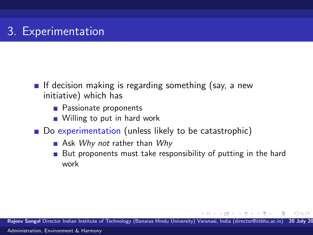- If decision making is regarding something (say, a new initiative) which has
	- **Passionate proponents**
	- Willing to put in hard work
- Do experimentation (unless likely to be catastrophic)
	- Ask Why not rather than  $Why$
	- But proponents must take responsibility of putting in the hard work

**State State** 

 $\Omega$ 

Rajeev Sangal Director Indian Institute of Technology (Banaras Hindu University) Varanasi, India (director@iitbhu.ac.in) 20 July 20 [Administration, Environment & Harmony](#page-0-0)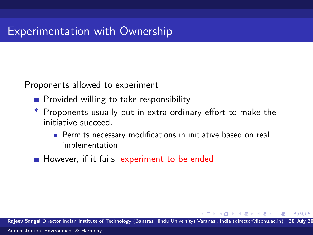Proponents allowed to experiment

- **Provided willing to take responsibility**
- Proponents usually put in extra-ordinary effort to make the initiative succeed.
	- **Permits necessary modifications in initiative based on real** implementation
- However, if it fails, experiment to be ended

Rajeev Sangal Director Indian Institute of Technology (Banaras Hindu University) Varanasi, India (director@iitbhu.ac.in) 20 July 20 [Administration, Environment & Harmony](#page-0-0)

റെ ര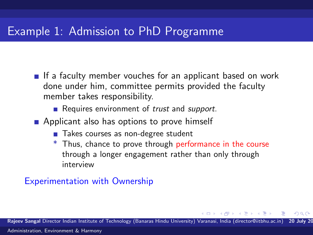If a faculty member vouches for an applicant based on work done under him, committee permits provided the faculty member takes responsibility.

Requires environment of *trust* and *support*.

- **Applicant also has options to prove himself** 
	- Takes courses as non-degree student
	- \* Thus, chance to prove through performance in the course through a longer engagement rather than only through interview

#### Experimentation with Ownership

Rajeev Sangal Director Indian Institute of Technology (Banaras Hindu University) Varanasi, India (director@iitbhu.ac.in)

 $\rightarrow$   $\equiv$   $\rightarrow$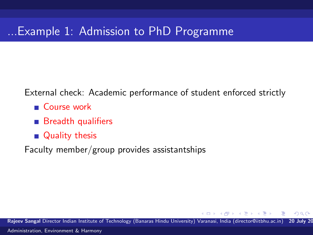External check: Academic performance of student enforced strictly

- Course work
- Breadth qualifiers
- **Quality thesis**

Faculty member/group provides assistantships

Rajeev Sangal Director Indian Institute of Technology (Banaras Hindu University) Varanasi, India (director@iitbhu.ac.in) 20 July 20 [Administration, Environment & Harmony](#page-0-0)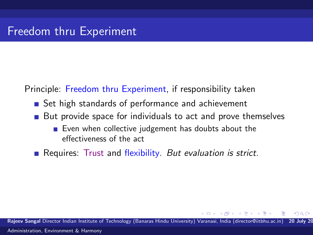Principle: Freedom thru Experiment, if responsibility taken

- Set high standards of performance and achievement
- But provide space for individuals to act and prove themselves
	- Even when collective judgement has doubts about the effectiveness of the act

Requires: Trust and flexibility. But evaluation is strict.

Raieev Sangal Director Indian Institute of Technology (Banaras Hindu University) Varanasi, India (director@iitbhu.ac.in) [Administration, Environment & Harmony](#page-0-0)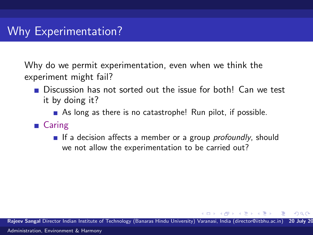Why do we permit experimentation, even when we think the experiment might fail?

- **Discussion has not sorted out the issue for both! Can we test** it by doing it?
	- As long as there is no catastrophe! Run pilot, if possible.
- Caring
	- If a decision affects a member or a group *profoundly*, should we not allow the experimentation to be carried out?

Rajeev Sangal Director Indian Institute of Technology (Banaras Hindu University) Varanasi, India (director@iitbhu.ac.in) 20 July 20 [Administration, Environment & Harmony](#page-0-0)

- 4 国 国 3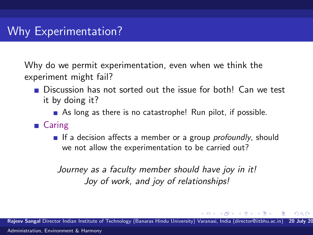Why do we permit experimentation, even when we think the experiment might fail?

- **Discussion has not sorted out the issue for both! Can we test** it by doing it?
	- As long as there is no catastrophe! Run pilot, if possible.
- Caring
	- If a decision affects a member or a group *profoundly*, should we not allow the experimentation to be carried out?

Journey as a faculty member should have joy in it! Joy of work, and joy of relationships!

Rajeev Sangal Director Indian Institute of Technology (Banaras Hindu University) Varanasi, India (director@iitbhu.ac.in) [Administration, Environment & Harmony](#page-0-0)

**State State**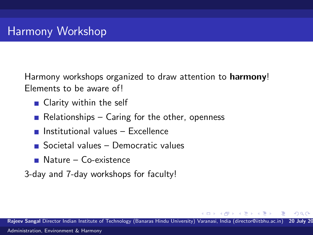Harmony workshops organized to draw attention to **harmony**! Elements to be aware of!

- Clarity within the self
- Relationships Caring for the other, openness
- Institutional values Excellence
- Societal values Democratic values
- **Nature Co-existence**
- 3-day and 7-day workshops for faculty!

Rajeev Sangal Director Indian Institute of Technology (Banaras Hindu University) Varanasi, India (director@iitbhu.ac.in) 20 July 20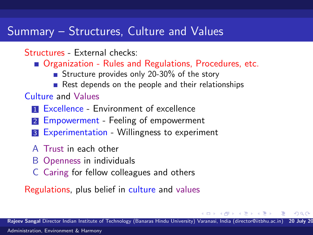### Summary – Structures, Culture and Values

### Structures - External checks:

- Organization Rules and Regulations, Procedures, etc.
	- Structure provides only 20-30% of the story
	- Rest depends on the people and their relationships

### Culture and Values

- **1 Excellence Environment of excellence**
- 2 Empowerment Feeling of empowerment
- **3** Experimentation Willingness to experiment
- A Trust in each other
- B Openness in individuals
- C Caring for fellow colleagues and others

Regulations, plus belief in culture and values

 $\rightarrow$   $\equiv$   $\rightarrow$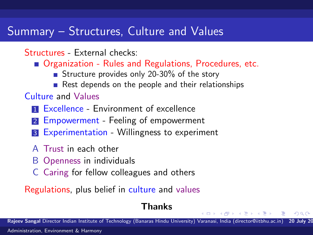### Summary – Structures, Culture and Values

Structures - External checks:

- Organization Rules and Regulations, Procedures, etc.
	- Structure provides only 20-30% of the story
	- Rest depends on the people and their relationships

### Culture and Values

- **1 Excellence Environment of excellence**
- 2 Empowerment Feeling of empowerment
- **3** Experimentation Willingness to experiment
- A Trust in each other
- B Openness in individuals
- C Caring for fellow colleagues and others

Regulations, plus belief in culture and values

### Thanks

Rajeev Sangal Director Indian Institute of Technology (Banaras Hindu University) Varanasi, India (director@iitbhu.ac.in)

**State State**